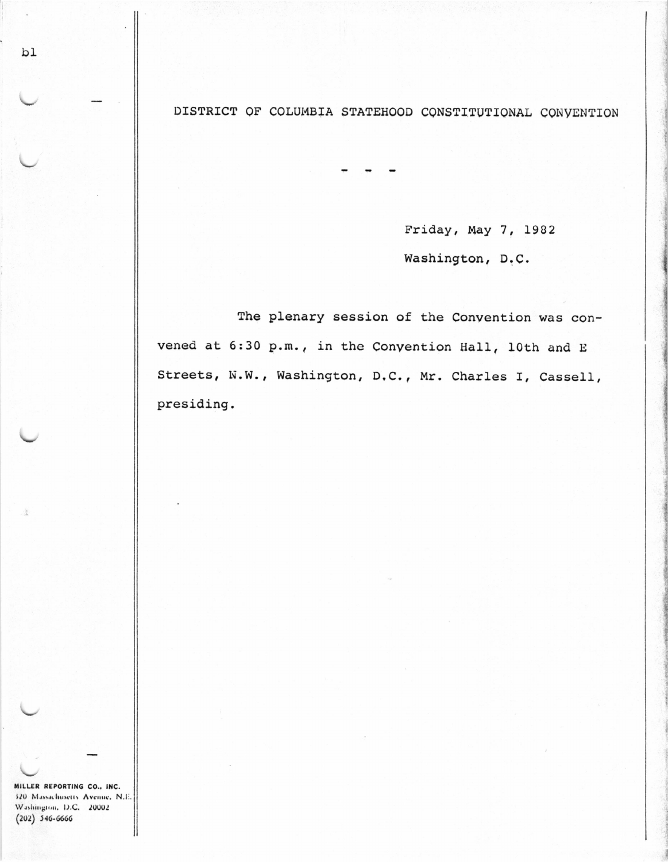DISTRICT OF COLUMBIA STATEHOOD CONSTITUTIONAL CONVENTION

Friday, May 7, 1982 Washington, D.C.

The plenary session of the Convention was convened at 6:30 p.m., in the Convention Hall, 10th and E Streets, N.W., Washington, D.C., Mr. Charles I, Cassell, presiding.

MILLER REPORTING CO., INC. 320 Massachusetts Avenue, N.E. Washington, D.C. 20002  $(202)$  546-6666

bl